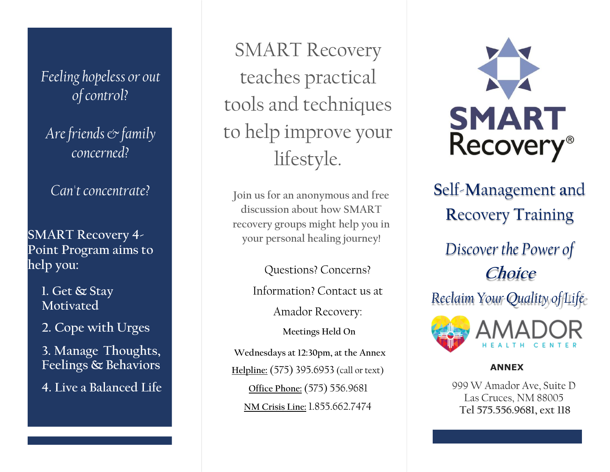Feeling hopeless or out of control?

Are friends  $\mathfrak{\circ}$  family concerned?

Can't concentrate?

SMART Recovery 4- Point Program aims to help you:

> 1. Get & Stay Motivated

2. Cope with Urges

3. Manage Thoughts, Feelings & Behaviors

4. Live a Balanced Life

SMART Recovery teaches practical tools and techniques to help improve your lifestyle.

Join us for an anonymous and free discussion about how SMART recovery groups might help you in your personal healing journey!

Questions? Concerns?

Information? Contact us at

Amador Recovery:

Meetings Held On

Wednesdays at 12:30pm, at the Annex Helpline: (575) 395.6953 (call or text) Office Phone: (575) 556.9681 NM Crisis Line: 1.855.662.7474



Self-Management and Recovery Training

Discover the Power of **Choice** 

Reclaim Your Quality of Life



#### ANNEX

999 W Amador Ave, Suite D Las Cruces, NM 88005 Tel 575.556.9681, ext 118